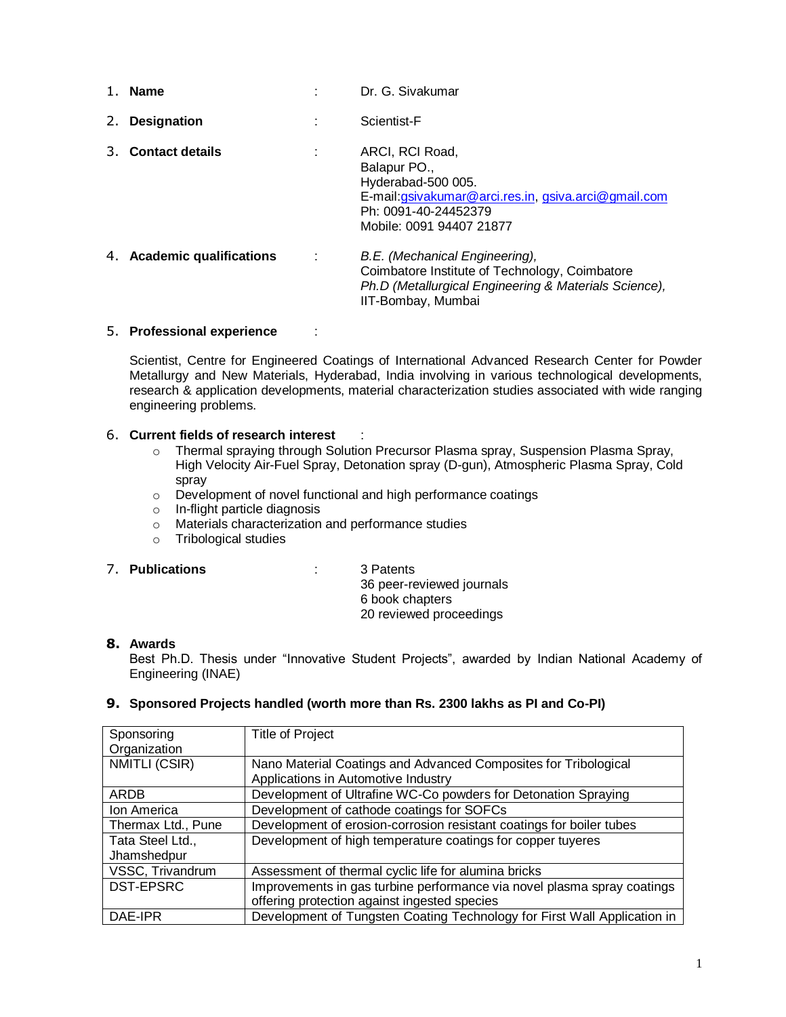|    | 1. Name                    |   | Dr. G. Sivakumar                                                                                                                                                 |
|----|----------------------------|---|------------------------------------------------------------------------------------------------------------------------------------------------------------------|
| 2. | <b>Designation</b>         | ٠ | Scientist-F                                                                                                                                                      |
| 3. | <b>Contact details</b>     |   | ARCI, RCI Road,<br>Balapur PO.,<br>Hyderabad-500 005.<br>E-mail:gsivakumar@arci.res.in, gsiva.arci@gmail.com<br>Ph: 0091-40-24452379<br>Mobile: 0091 94407 21877 |
|    | 4. Academic qualifications | ÷ | B.E. (Mechanical Engineering),<br>Coimbatore Institute of Technology, Coimbatore<br>Ph.D (Metallurgical Engineering & Materials Science),<br>IIT-Bombay, Mumbai  |

### 5. **Professional experience** :

Scientist, Centre for Engineered Coatings of International Advanced Research Center for Powder Metallurgy and New Materials, Hyderabad, India involving in various technological developments, research & application developments, material characterization studies associated with wide ranging engineering problems.

#### 6. **Current fields of research interest** :

- o Thermal spraying through Solution Precursor Plasma spray, Suspension Plasma Spray, High Velocity Air-Fuel Spray, Detonation spray (D-gun), Atmospheric Plasma Spray, Cold spray
- o Development of novel functional and high performance coatings
- o In-flight particle diagnosis
- o Materials characterization and performance studies
- o Tribological studies

### 7. **Publications** : 3 Patents

36 peer-reviewed journals 6 book chapters 20 reviewed proceedings

# **8. Awards**

Best Ph.D. Thesis under "Innovative Student Projects", awarded by Indian National Academy of Engineering (INAE)

### **9. Sponsored Projects handled (worth more than Rs. 2300 lakhs as PI and Co-PI)**

| Sponsoring         | <b>Title of Project</b>                                                  |
|--------------------|--------------------------------------------------------------------------|
| Organization       |                                                                          |
| NMITLI (CSIR)      | Nano Material Coatings and Advanced Composites for Tribological          |
|                    | Applications in Automotive Industry                                      |
| ARDB               | Development of Ultrafine WC-Co powders for Detonation Spraying           |
| Ion America        | Development of cathode coatings for SOFCs                                |
| Thermax Ltd., Pune | Development of erosion-corrosion resistant coatings for boiler tubes     |
| Tata Steel Ltd.,   | Development of high temperature coatings for copper tuyeres              |
| Jhamshedpur        |                                                                          |
| VSSC, Trivandrum   | Assessment of thermal cyclic life for alumina bricks                     |
| <b>DST-EPSRC</b>   | Improvements in gas turbine performance via novel plasma spray coatings  |
|                    | offering protection against ingested species                             |
| DAE-IPR            | Development of Tungsten Coating Technology for First Wall Application in |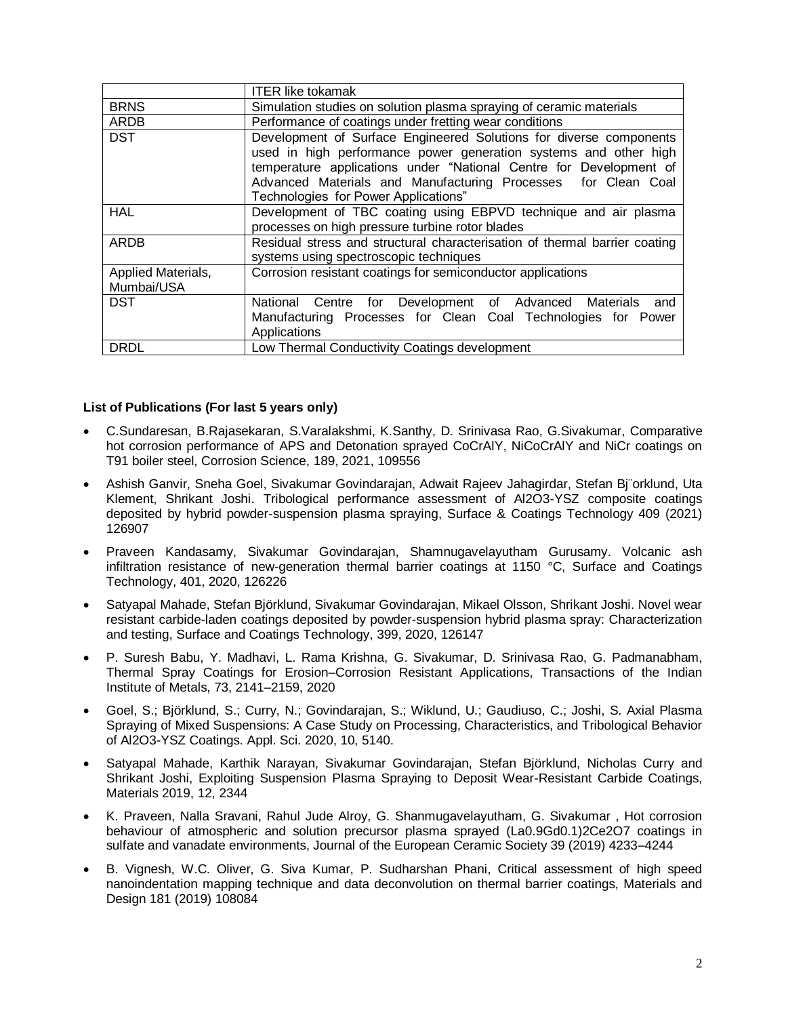|                                  | <b>ITER like tokamak</b>                                                                                                                                                                                                                                                                                              |
|----------------------------------|-----------------------------------------------------------------------------------------------------------------------------------------------------------------------------------------------------------------------------------------------------------------------------------------------------------------------|
| <b>BRNS</b>                      | Simulation studies on solution plasma spraying of ceramic materials                                                                                                                                                                                                                                                   |
| <b>ARDB</b>                      | Performance of coatings under fretting wear conditions                                                                                                                                                                                                                                                                |
| <b>DST</b>                       | Development of Surface Engineered Solutions for diverse components<br>used in high performance power generation systems and other high<br>temperature applications under "National Centre for Development of<br>Advanced Materials and Manufacturing Processes for Clean Coal<br>Technologies for Power Applications" |
| <b>HAL</b>                       | Development of TBC coating using EBPVD technique and air plasma<br>processes on high pressure turbine rotor blades                                                                                                                                                                                                    |
| ARDB                             | Residual stress and structural characterisation of thermal barrier coating<br>systems using spectroscopic techniques                                                                                                                                                                                                  |
| Applied Materials,<br>Mumbai/USA | Corrosion resistant coatings for semiconductor applications                                                                                                                                                                                                                                                           |
| <b>DST</b>                       | National Centre for Development of Advanced Materials and<br>Manufacturing Processes for Clean Coal Technologies for Power<br>Applications                                                                                                                                                                            |
| <b>DRDL</b>                      | Low Thermal Conductivity Coatings development                                                                                                                                                                                                                                                                         |

### **List of Publications (For last 5 years only)**

- C.Sundaresan, B.Rajasekaran, S.Varalakshmi, K.Santhy, D. Srinivasa Rao, G.Sivakumar, Comparative hot corrosion performance of APS and Detonation sprayed CoCrAlY, NiCoCrAlY and NiCr coatings on T91 boiler steel, Corrosion Science, 189, 2021, 109556
- Ashish Ganvir, Sneha Goel, Sivakumar Govindarajan, Adwait Rajeev Jahagirdar, Stefan Bj¨orklund, Uta Klement, Shrikant Joshi. Tribological performance assessment of Al2O3-YSZ composite coatings deposited by hybrid powder-suspension plasma spraying, Surface & Coatings Technology 409 (2021) 126907
- Praveen Kandasamy, Sivakumar Govindarajan, Shamnugavelayutham Gurusamy. Volcanic ash infiltration resistance of new-generation thermal barrier coatings at 1150 °C, Surface and Coatings Technology, 401, 2020, 126226
- Satyapal Mahade, Stefan Björklund, Sivakumar Govindarajan, Mikael Olsson, Shrikant Joshi. Novel wear resistant carbide-laden coatings deposited by powder-suspension hybrid plasma spray: Characterization and testing, Surface and Coatings Technology, 399, 2020, 126147
- P. Suresh Babu, Y. Madhavi, L. Rama Krishna, G. Sivakumar, D. Srinivasa Rao, G. Padmanabham, Thermal Spray Coatings for Erosion–Corrosion Resistant Applications, Transactions of the Indian Institute of Metals, 73, 2141–2159, 2020
- Goel, S.; Björklund, S.; Curry, N.; Govindarajan, S.; Wiklund, U.; Gaudiuso, C.; Joshi, S. Axial Plasma Spraying of Mixed Suspensions: A Case Study on Processing, Characteristics, and Tribological Behavior of Al2O3-YSZ Coatings. Appl. Sci. 2020, 10, 5140.
- Satyapal Mahade, Karthik Narayan, Sivakumar Govindarajan, Stefan Björklund, Nicholas Curry and Shrikant Joshi, Exploiting Suspension Plasma Spraying to Deposit Wear-Resistant Carbide Coatings, Materials 2019, 12, 2344
- K. Praveen, Nalla Sravani, Rahul Jude Alroy, G. Shanmugavelayutham, G. Sivakumar , Hot corrosion behaviour of atmospheric and solution precursor plasma sprayed (La0.9Gd0.1)2Ce2O7 coatings in sulfate and vanadate environments, Journal of the European Ceramic Society 39 (2019) 4233–4244
- B. Vignesh, W.C. Oliver, G. Siva Kumar, P. Sudharshan Phani, Critical assessment of high speed nanoindentation mapping technique and data deconvolution on thermal barrier coatings, Materials and Design 181 (2019) 108084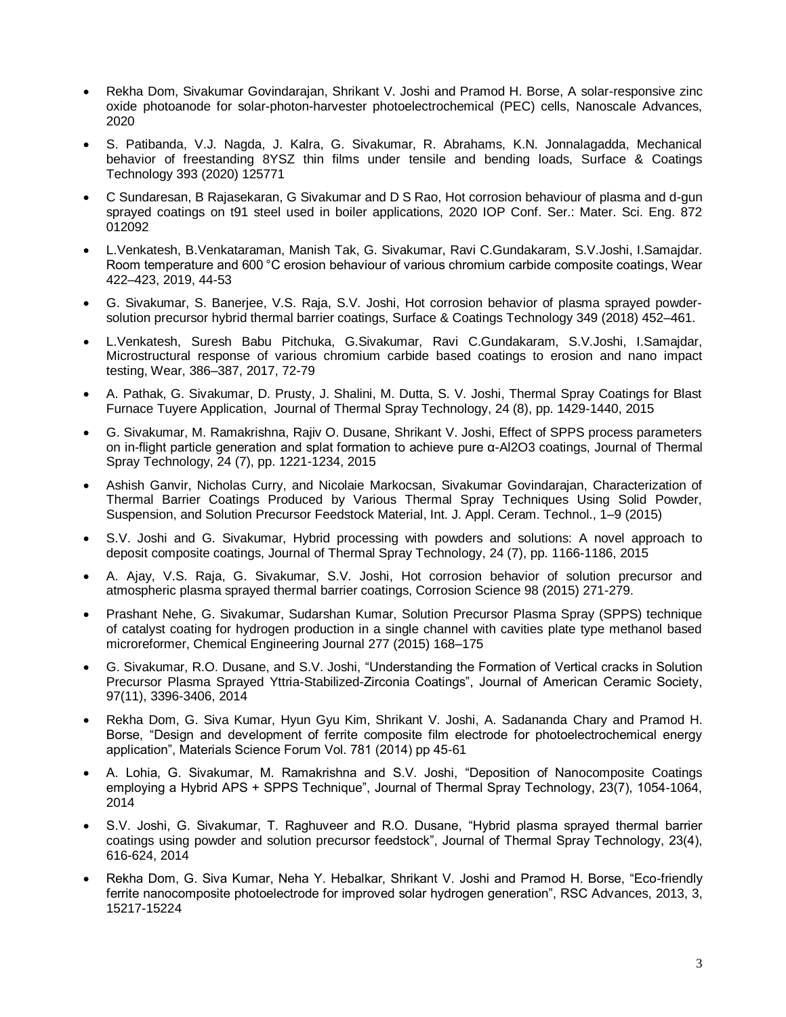- Rekha Dom, Sivakumar Govindarajan, Shrikant V. Joshi and Pramod H. Borse, A solar-responsive zinc oxide photoanode for solar-photon-harvester photoelectrochemical (PEC) cells, Nanoscale Advances, 2020
- S. Patibanda, V.J. Nagda, J. Kalra, G. Sivakumar, R. Abrahams, K.N. Jonnalagadda, Mechanical behavior of freestanding 8YSZ thin films under tensile and bending loads, Surface & Coatings Technology 393 (2020) 125771
- C Sundaresan, B Rajasekaran, G Sivakumar and D S Rao, Hot corrosion behaviour of plasma and d-gun sprayed coatings on t91 steel used in boiler applications, 2020 IOP Conf. Ser.: Mater. Sci. Eng. 872 012092
- L.Venkatesh, B.Venkataraman, Manish Tak, G. Sivakumar, Ravi C.Gundakaram, S.V.Joshi, I.Samajdar. Room temperature and 600 °C erosion behaviour of various chromium carbide composite coatings, Wear 422–423, 2019, 44-53
- G. Sivakumar, S. Banerjee, V.S. Raja, S.V. Joshi, Hot corrosion behavior of plasma sprayed powdersolution precursor hybrid thermal barrier coatings, Surface & Coatings Technology 349 (2018) 452–461.
- L.Venkatesh, Suresh Babu Pitchuka, G.Sivakumar, Ravi C.Gundakaram, S.V.Joshi, I.Samajdar, Microstructural response of various chromium carbide based coatings to erosion and nano impact testing, Wear, 386–387, 2017, 72-79
- A. Pathak, G. Sivakumar, D. Prusty, J. Shalini, M. Dutta, S. V. Joshi, Thermal Spray Coatings for Blast Furnace Tuyere Application, Journal of Thermal Spray Technology, 24 (8), pp. 1429-1440, 2015
- G. Sivakumar, M. Ramakrishna, Rajiv O. Dusane, Shrikant V. Joshi, Effect of SPPS process parameters on in-flight particle generation and splat formation to achieve pure α-Al2O3 coatings, Journal of Thermal Spray Technology, 24 (7), pp. 1221-1234, 2015
- Ashish Ganvir, Nicholas Curry, and Nicolaie Markocsan, Sivakumar Govindarajan, Characterization of Thermal Barrier Coatings Produced by Various Thermal Spray Techniques Using Solid Powder, Suspension, and Solution Precursor Feedstock Material, Int. J. Appl. Ceram. Technol., 1–9 (2015)
- S.V. Joshi and G. Sivakumar, Hybrid processing with powders and solutions: A novel approach to deposit composite coatings, Journal of Thermal Spray Technology, 24 (7), pp. 1166-1186, 2015
- A. Ajay, V.S. Raja, G. Sivakumar, S.V. Joshi, Hot corrosion behavior of solution precursor and atmospheric plasma sprayed thermal barrier coatings, Corrosion Science 98 (2015) 271-279.
- Prashant Nehe, G. Sivakumar, Sudarshan Kumar, Solution Precursor Plasma Spray (SPPS) technique of catalyst coating for hydrogen production in a single channel with cavities plate type methanol based microreformer, Chemical Engineering Journal 277 (2015) 168–175
- G. Sivakumar, R.O. Dusane, and S.V. Joshi, "Understanding the Formation of Vertical cracks in Solution Precursor Plasma Sprayed Yttria-Stabilized-Zirconia Coatings", Journal of American Ceramic Society, 97(11), 3396-3406, 2014
- Rekha Dom, G. Siva Kumar, Hyun Gyu Kim, Shrikant V. Joshi, A. Sadananda Chary and Pramod H. Borse, "Design and development of ferrite composite film electrode for photoelectrochemical energy application", Materials Science Forum Vol. 781 (2014) pp 45-61
- A. Lohia, G. Sivakumar, M. Ramakrishna and S.V. Joshi, "Deposition of Nanocomposite Coatings employing a Hybrid APS + SPPS Technique", Journal of Thermal Spray Technology, 23(7), 1054-1064, 2014
- S.V. Joshi, G. Sivakumar, T. Raghuveer and R.O. Dusane, "Hybrid plasma sprayed thermal barrier coatings using powder and solution precursor feedstock", Journal of Thermal Spray Technology, 23(4), 616-624, 2014
- Rekha Dom, G. Siva Kumar, Neha Y. Hebalkar, Shrikant V. Joshi and Pramod H. Borse, "Eco-friendly ferrite nanocomposite photoelectrode for improved solar hydrogen generation", RSC Advances, 2013, 3, 15217-15224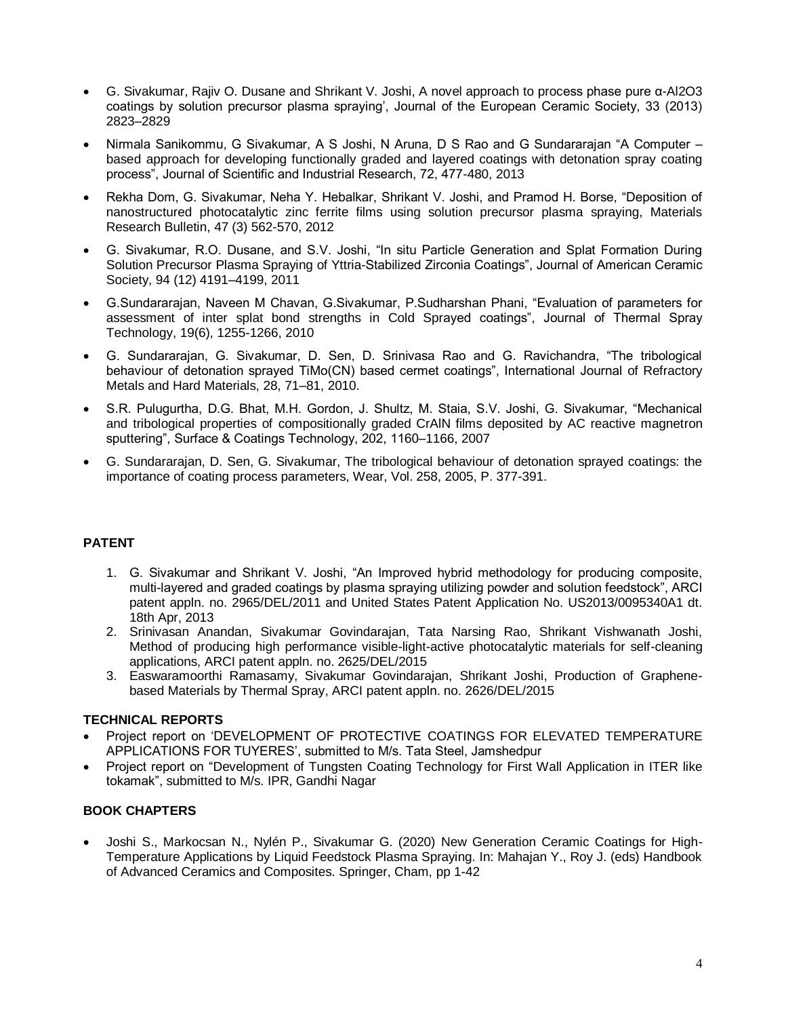- G. Sivakumar, Rajiv O. Dusane and Shrikant V. Joshi, A novel approach to process phase pure α-Al2O3 coatings by solution precursor plasma spraying', Journal of the European Ceramic Society, 33 (2013) 2823–2829
- Nirmala Sanikommu, G Sivakumar, A S Joshi, N Aruna, D S Rao and G Sundararajan "A Computer based approach for developing functionally graded and layered coatings with detonation spray coating process", Journal of Scientific and Industrial Research, 72, 477-480, 2013
- Rekha Dom, G. Sivakumar, Neha Y. Hebalkar, Shrikant V. Joshi, and Pramod H. Borse, "Deposition of nanostructured photocatalytic zinc ferrite films using solution precursor plasma spraying, Materials Research Bulletin, 47 (3) 562-570, 2012
- G. Sivakumar, R.O. Dusane, and S.V. Joshi, "In situ Particle Generation and Splat Formation During Solution Precursor Plasma Spraying of Yttria-Stabilized Zirconia Coatings", Journal of American Ceramic Society, 94 (12) 4191–4199, 2011
- G.Sundararajan, Naveen M Chavan, G.Sivakumar, P.Sudharshan Phani, "Evaluation of parameters for assessment of inter splat bond strengths in Cold Sprayed coatings", Journal of Thermal Spray Technology, 19(6), 1255-1266, 2010
- G. Sundararajan, G. Sivakumar, D. Sen, D. Srinivasa Rao and G. Ravichandra, "The tribological behaviour of detonation sprayed TiMo(CN) based cermet coatings", International Journal of Refractory Metals and Hard Materials, 28, 71–81, 2010.
- S.R. Pulugurtha, D.G. Bhat, M.H. Gordon, J. Shultz, M. Staia, S.V. Joshi, G. Sivakumar, "Mechanical and tribological properties of compositionally graded CrAlN films deposited by AC reactive magnetron sputtering", Surface & Coatings Technology, 202, 1160–1166, 2007
- G. Sundararajan, D. Sen, G. Sivakumar, The tribological behaviour of detonation sprayed coatings: the importance of coating process parameters, Wear, Vol. 258, 2005, P. 377-391.

# **PATENT**

- 1. G. Sivakumar and Shrikant V. Joshi, "An Improved hybrid methodology for producing composite, multi-layered and graded coatings by plasma spraying utilizing powder and solution feedstock", ARCI patent appln. no. 2965/DEL/2011 and United States Patent Application No. US2013/0095340A1 dt. 18th Apr, 2013
- 2. Srinivasan Anandan, Sivakumar Govindarajan, Tata Narsing Rao, Shrikant Vishwanath Joshi, Method of producing high performance visible-light-active photocatalytic materials for self-cleaning applications, ARCI patent appln. no. 2625/DEL/2015
- 3. Easwaramoorthi Ramasamy, Sivakumar Govindarajan, Shrikant Joshi, Production of Graphenebased Materials by Thermal Spray, ARCI patent appln. no. 2626/DEL/2015

### **TECHNICAL REPORTS**

- Project report on 'DEVELOPMENT OF PROTECTIVE COATINGS FOR ELEVATED TEMPERATURE APPLICATIONS FOR TUYERES', submitted to M/s. Tata Steel, Jamshedpur
- Project report on "Development of Tungsten Coating Technology for First Wall Application in ITER like tokamak", submitted to M/s. IPR, Gandhi Nagar

### **BOOK CHAPTERS**

 Joshi S., Markocsan N., Nylén P., Sivakumar G. (2020) New Generation Ceramic Coatings for High-Temperature Applications by Liquid Feedstock Plasma Spraying. In: Mahajan Y., Roy J. (eds) Handbook of Advanced Ceramics and Composites. Springer, Cham, pp 1-42